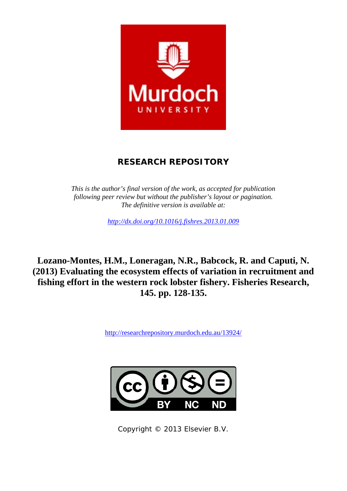

# **RESEARCH REPOSITORY**

*This is the author's final version of the work, as accepted for publication following peer review but without the publisher's layout or pagination. The definitive version is available at:* 

*http://dx.doi.org/10.1016/j.fishres.2013.01.009* 

**Lozano-Montes, H.M., Loneragan, N.R., Babcock, R. and Caputi, N. (2013) Evaluating the ecosystem effects of variation in recruitment and fishing effort in the western rock lobster fishery. Fisheries Research, 145. pp. 128-135.** 

http://researchrepository.murdoch.edu.au/13924/



Copyright © 2013 Elsevier B.V.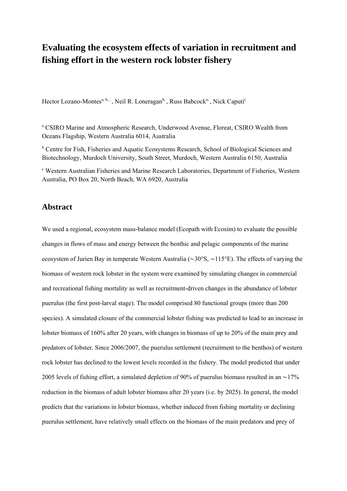# **Evaluating the ecosystem effects of variation in recruitment and fishing effort in the western rock lobster fishery**

Hector Lozano-Montes<sup>a, b, ,</sup> , Neil R. Loneragan<sup>b,</sup> , Russ Babcock<sup>a,</sup> , Nick Caputi<sup>c</sup>

<sup>a</sup> CSIRO Marine and Atmospheric Research, Underwood Avenue, Floreat, CSIRO Wealth from Oceans Flagship, Western Australia 6014, Australia

<sup>b</sup> Centre for Fish, Fisheries and Aquatic Ecosystems Research, School of Biological Sciences and Biotechnology, Murdoch University, South Street, Murdoch, Western Australia 6150, Australia

c Western Australian Fisheries and Marine Research Laboratories, Department of Fisheries, Western Australia, PO Box 20, North Beach, WA 6920, Australia

### **Abstract**

We used a regional, ecosystem mass-balance model (Ecopath with Ecosim) to evaluate the possible changes in flows of mass and energy between the benthic and pelagic components of the marine ecosystem of Jurien Bay in temperate Western Australia (∼30°S, ∼115°E). The effects of varying the biomass of western rock lobster in the system were examined by simulating changes in commercial and recreational fishing mortality as well as recruitment-driven changes in the abundance of lobster puerulus (the first post-larval stage). The model comprised 80 functional groups (more than 200 species). A simulated closure of the commercial lobster fishing was predicted to lead to an increase in lobster biomass of 160% after 20 years, with changes in biomass of up to 20% of the main prey and predators of lobster. Since 2006/2007, the puerulus settlement (recruitment to the benthos) of western rock lobster has declined to the lowest levels recorded in the fishery. The model predicted that under 2005 levels of fishing effort, a simulated depletion of 90% of puerulus biomass resulted in an ∼17% reduction in the biomass of adult lobster biomass after 20 years (i.e. by 2025). In general, the model predicts that the variations in lobster biomass, whether induced from fishing mortality or declining puerulus settlement, have relatively small effects on the biomass of the main predators and prey of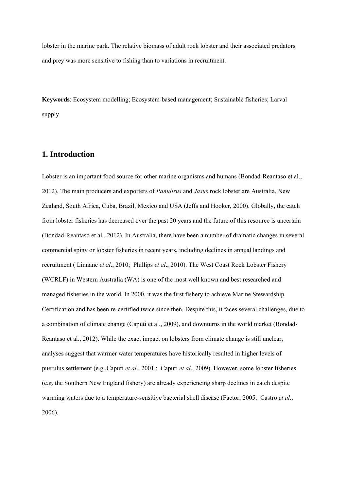lobster in the marine park. The relative biomass of adult rock lobster and their associated predators and prey was more sensitive to fishing than to variations in recruitment.

**Keywords**: Ecosystem modelling; Ecosystem-based management; Sustainable fisheries; Larval supply

## **1. Introduction**

Lobster is an important food source for other marine organisms and humans (Bondad-Reantaso et al., 2012). The main producers and exporters of *Panulirus* and *Jasus* rock lobster are Australia, New Zealand, South Africa, Cuba, Brazil, Mexico and USA (Jeffs and Hooker, 2000). Globally, the catch from lobster fisheries has decreased over the past 20 years and the future of this resource is uncertain (Bondad-Reantaso et al., 2012). In Australia, there have been a number of dramatic changes in several commercial spiny or lobster fisheries in recent years, including declines in annual landings and recruitment ( Linnane *et al*., 2010; Phillips *et al*., 2010). The West Coast Rock Lobster Fishery (WCRLF) in Western Australia (WA) is one of the most well known and best researched and managed fisheries in the world. In 2000, it was the first fishery to achieve Marine Stewardship Certification and has been re-certified twice since then. Despite this, it faces several challenges, due to a combination of climate change (Caputi et al., 2009), and downturns in the world market (Bondad-Reantaso et al., 2012). While the exact impact on lobsters from climate change is still unclear, analyses suggest that warmer water temperatures have historically resulted in higher levels of puerulus settlement (e.g.,Caputi *et al*., 2001 ; Caputi *et al*., 2009). However, some lobster fisheries (e.g. the Southern New England fishery) are already experiencing sharp declines in catch despite warming waters due to a temperature-sensitive bacterial shell disease (Factor, 2005; Castro *et al*., 2006).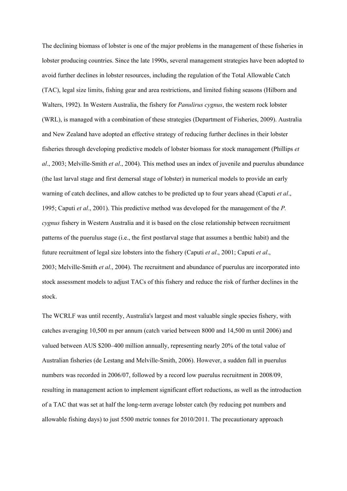The declining biomass of lobster is one of the major problems in the management of these fisheries in lobster producing countries. Since the late 1990s, several management strategies have been adopted to avoid further declines in lobster resources, including the regulation of the Total Allowable Catch (TAC), legal size limits, fishing gear and area restrictions, and limited fishing seasons (Hilborn and Walters, 1992). In Western Australia, the fishery for *Panulirus cygnus*, the western rock lobster (WRL), is managed with a combination of these strategies (Department of Fisheries, 2009). Australia and New Zealand have adopted an effective strategy of reducing further declines in their lobster fisheries through developing predictive models of lobster biomass for stock management (Phillips *et al*., 2003; Melville-Smith *et al*., 2004). This method uses an index of juvenile and puerulus abundance (the last larval stage and first demersal stage of lobster) in numerical models to provide an early warning of catch declines, and allow catches to be predicted up to four years ahead (Caputi *et al*., 1995; Caputi *et al*., 2001). This predictive method was developed for the management of the *P. cygnus* fishery in Western Australia and it is based on the close relationship between recruitment patterns of the puerulus stage (i.e., the first postlarval stage that assumes a benthic habit) and the future recruitment of legal size lobsters into the fishery (Caputi *et al*., 2001; Caputi *et al*., 2003; Melville-Smith *et al*., 2004). The recruitment and abundance of puerulus are incorporated into stock assessment models to adjust TACs of this fishery and reduce the risk of further declines in the stock.

The WCRLF was until recently, Australia's largest and most valuable single species fishery, with catches averaging 10,500 m per annum (catch varied between 8000 and 14,500 m until 2006) and valued between AUS \$200–400 million annually, representing nearly 20% of the total value of Australian fisheries (de Lestang and Melville-Smith, 2006). However, a sudden fall in puerulus numbers was recorded in 2006/07, followed by a record low puerulus recruitment in 2008/09, resulting in management action to implement significant effort reductions, as well as the introduction of a TAC that was set at half the long-term average lobster catch (by reducing pot numbers and allowable fishing days) to just 5500 metric tonnes for 2010/2011. The precautionary approach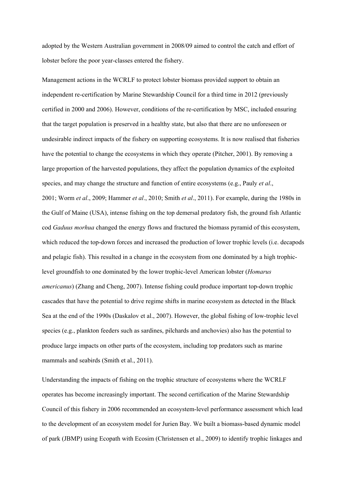adopted by the Western Australian government in 2008/09 aimed to control the catch and effort of lobster before the poor year-classes entered the fishery.

Management actions in the WCRLF to protect lobster biomass provided support to obtain an independent re-certification by Marine Stewardship Council for a third time in 2012 (previously certified in 2000 and 2006). However, conditions of the re-certification by MSC, included ensuring that the target population is preserved in a healthy state, but also that there are no unforeseen or undesirable indirect impacts of the fishery on supporting ecosystems. It is now realised that fisheries have the potential to change the ecosystems in which they operate (Pitcher, 2001). By removing a large proportion of the harvested populations, they affect the population dynamics of the exploited species, and may change the structure and function of entire ecosystems (e.g., Pauly *et al*., 2001; Worm *et al*., 2009; Hammer *et al*., 2010; Smith *et al*., 2011). For example, during the 1980s in the Gulf of Maine (USA), intense fishing on the top demersal predatory fish, the ground fish Atlantic cod *Gaduus morhua* changed the energy flows and fractured the biomass pyramid of this ecosystem, which reduced the top-down forces and increased the production of lower trophic levels (i.e. decapods and pelagic fish). This resulted in a change in the ecosystem from one dominated by a high trophiclevel groundfish to one dominated by the lower trophic-level American lobster (*Homarus americanus*) (Zhang and Cheng, 2007). Intense fishing could produce important top-down trophic cascades that have the potential to drive regime shifts in marine ecosystem as detected in the Black Sea at the end of the 1990s (Daskalov et al., 2007). However, the global fishing of low-trophic level species (e.g., plankton feeders such as sardines, pilchards and anchovies) also has the potential to produce large impacts on other parts of the ecosystem, including top predators such as marine mammals and seabirds (Smith et al., 2011).

Understanding the impacts of fishing on the trophic structure of ecosystems where the WCRLF operates has become increasingly important. The second certification of the Marine Stewardship Council of this fishery in 2006 recommended an ecosystem-level performance assessment which lead to the development of an ecosystem model for Jurien Bay. We built a biomass-based dynamic model of park (JBMP) using Ecopath with Ecosim (Christensen et al., 2009) to identify trophic linkages and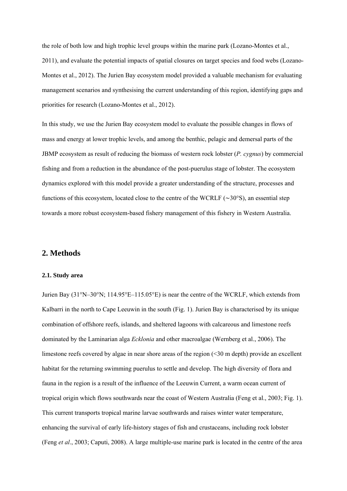the role of both low and high trophic level groups within the marine park (Lozano-Montes et al., 2011), and evaluate the potential impacts of spatial closures on target species and food webs (Lozano-Montes et al., 2012). The Jurien Bay ecosystem model provided a valuable mechanism for evaluating management scenarios and synthesising the current understanding of this region, identifying gaps and priorities for research (Lozano-Montes et al., 2012).

In this study, we use the Jurien Bay ecosystem model to evaluate the possible changes in flows of mass and energy at lower trophic levels, and among the benthic, pelagic and demersal parts of the JBMP ecosystem as result of reducing the biomass of western rock lobster (*P. cygnus*) by commercial fishing and from a reduction in the abundance of the post-puerulus stage of lobster. The ecosystem dynamics explored with this model provide a greater understanding of the structure, processes and functions of this ecosystem, located close to the centre of the WCRLF (∼30°S), an essential step towards a more robust ecosystem-based fishery management of this fishery in Western Australia.

### **2. Methods**

#### **2.1. Study area**

Jurien Bay (31°N–30°N; 114.95°E–115.05°E) is near the centre of the WCRLF, which extends from Kalbarri in the north to Cape Leeuwin in the south (Fig. 1). Jurien Bay is characterised by its unique combination of offshore reefs, islands, and sheltered lagoons with calcareous and limestone reefs dominated by the Laminarian alga *Ecklonia* and other macroalgae (Wernberg et al., 2006). The limestone reefs covered by algae in near shore areas of the region (<30 m depth) provide an excellent habitat for the returning swimming puerulus to settle and develop. The high diversity of flora and fauna in the region is a result of the influence of the Leeuwin Current, a warm ocean current of tropical origin which flows southwards near the coast of Western Australia (Feng et al., 2003; Fig. 1). This current transports tropical marine larvae southwards and raises winter water temperature, enhancing the survival of early life-history stages of fish and crustaceans, including rock lobster (Feng *et al*., 2003; Caputi, 2008). A large multiple-use marine park is located in the centre of the area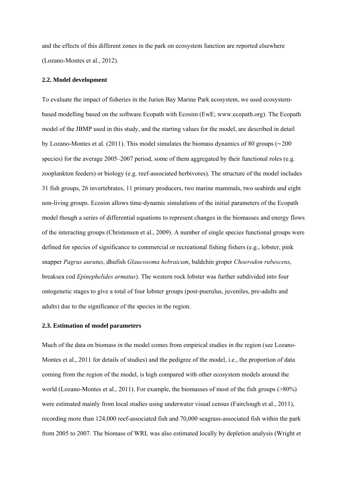and the effects of this different zones in the park on ecosystem function are reported elsewhere (Lozano-Montes et al., 2012).

#### **2.2. Model development**

To evaluate the impact of fisheries in the Jurien Bay Marine Park ecosystem, we used ecosystembased modelling based on the software Ecopath with Ecosim (EwE; www.ecopath.org). The Ecopath model of the JBMP used in this study, and the starting values for the model, are described in detail by Lozano-Montes et al. (2011). This model simulates the biomass dynamics of 80 groups (∼200 species) for the average 2005–2007 period, some of them aggregated by their functional roles (e.g. zooplankton feeders) or biology (e.g. reef-associated herbivores). The structure of the model includes 31 fish groups, 26 invertebrates, 11 primary producers, two marine mammals, two seabirds and eight non-living groups. Ecosim allows time-dynamic simulations of the initial parameters of the Ecopath model though a series of differential equations to represent changes in the biomasses and energy flows of the interacting groups (Christensen et al., 2009). A number of single species functional groups were defined for species of significance to commercial or recreational fishing fishers (e.g., lobster, pink snapper *Pagrus auratus*, dhufish *Glaucosoma hebraicum*, baldchin groper *Choerodon rubescens*, breaksea cod *Epinephelides armatus*). The western rock lobster was further subdivided into four ontogenetic stages to give a total of four lobster groups (post-puerulus, juveniles, pre-adults and adults) due to the significance of the species in the region.

#### **2.3. Estimation of model parameters**

Much of the data on biomass in the model comes from empirical studies in the region (see Lozano-Montes et al., 2011 for details of studies) and the pedigree of the model, i.e., the proportion of data coming from the region of the model, is high compared with other ecosystem models around the world (Lozano-Montes et al., 2011). For example, the biomasses of most of the fish groups (>80%) were estimated mainly from local studies using underwater visual census (Fairclough et al., 2011), recording more than 124,000 reef-associated fish and 70,000 seagrass-associated fish within the park from 2005 to 2007. The biomass of WRL was also estimated locally by depletion analysis (Wright et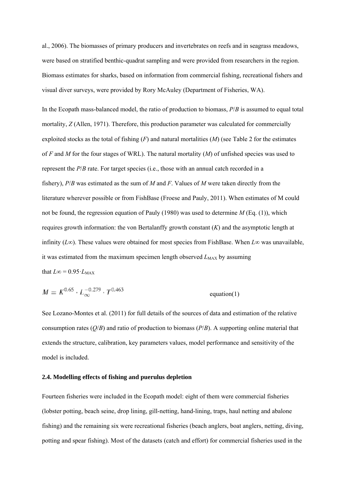al., 2006). The biomasses of primary producers and invertebrates on reefs and in seagrass meadows, were based on stratified benthic-quadrat sampling and were provided from researchers in the region. Biomass estimates for sharks, based on information from commercial fishing, recreational fishers and visual diver surveys, were provided by Rory McAuley (Department of Fisheries, WA).

In the Ecopath mass-balanced model, the ratio of production to biomass, *P*/*B* is assumed to equal total mortality, *Z* (Allen, 1971). Therefore, this production parameter was calculated for commercially exploited stocks as the total of fishing (*F*) and natural mortalities (*M*) (see Table 2 for the estimates of *F* and *M* for the four stages of WRL). The natural mortality (*M*) of unfished species was used to represent the *P*/*B* rate. For target species (i.e., those with an annual catch recorded in a fishery), *P*/*B* was estimated as the sum of *M* and *F*. Values of *M* were taken directly from the literature wherever possible or from FishBase (Froese and Pauly, 2011). When estimates of M could not be found, the regression equation of Pauly (1980) was used to determine *M* (Eq. (1)), which requires growth information: the von Bertalanffy growth constant (*K*) and the asymptotic length at infinity ( $L\infty$ ). These values were obtained for most species from FishBase. When  $L\infty$  was unavailable, it was estimated from the maximum specimen length observed  $L_{MAX}$  by assuming that  $L\infty = 0.95 \cdot L_{\text{MAX}}$ 

$$
M = K^{0.65} \cdot L_{\infty}^{-0.279} \cdot T^{0.463}
$$
 equation(1)

See Lozano-Montes et al. (2011) for full details of the sources of data and estimation of the relative consumption rates (*Q*/*B*) and ratio of production to biomass (*P*/*B*). A supporting online material that extends the structure, calibration, key parameters values, model performance and sensitivity of the model is included.

#### **2.4. Modelling effects of fishing and puerulus depletion**

Fourteen fisheries were included in the Ecopath model: eight of them were commercial fisheries (lobster potting, beach seine, drop lining, gill-netting, hand-lining, traps, haul netting and abalone fishing) and the remaining six were recreational fisheries (beach anglers, boat anglers, netting, diving, potting and spear fishing). Most of the datasets (catch and effort) for commercial fisheries used in the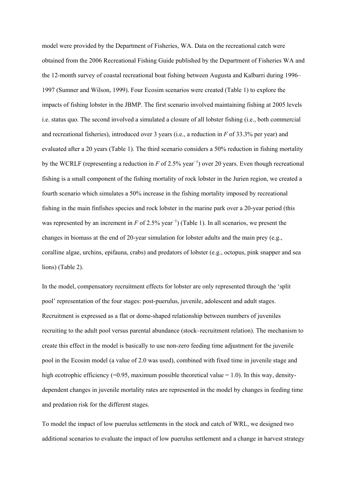model were provided by the Department of Fisheries, WA. Data on the recreational catch were obtained from the 2006 Recreational Fishing Guide published by the Department of Fisheries WA and the 12-month survey of coastal recreational boat fishing between Augusta and Kalbarri during 1996– 1997 (Sumner and Wilson, 1999). Four Ecosim scenarios were created (Table 1) to explore the impacts of fishing lobster in the JBMP. The first scenario involved maintaining fishing at 2005 levels i.e. status quo. The second involved a simulated a closure of all lobster fishing (i.e., both commercial and recreational fisheries), introduced over 3 years (i.e., a reduction in *F* of 33.3% per year) and evaluated after a 20 years (Table 1). The third scenario considers a 50% reduction in fishing mortality by the WCRLF (representing a reduction in *F* of 2.5% year<sup>−</sup><sup>1</sup> ) over 20 years. Even though recreational fishing is a small component of the fishing mortality of rock lobster in the Jurien region, we created a fourth scenario which simulates a 50% increase in the fishing mortality imposed by recreational fishing in the main finfishes species and rock lobster in the marine park over a 20-year period (this was represented by an increment in  $F$  of 2.5% year<sup>-1</sup>) (Table 1). In all scenarios, we present the changes in biomass at the end of 20-year simulation for lobster adults and the main prey (e.g., coralline algae, urchins, epifauna, crabs) and predators of lobster (e.g., octopus, pink snapper and sea lions) (Table 2).

In the model, compensatory recruitment effects for lobster are only represented through the 'split pool' representation of the four stages: post-puerulus, juvenile, adolescent and adult stages. Recruitment is expressed as a flat or dome-shaped relationship between numbers of juveniles recruiting to the adult pool versus parental abundance (stock–recruitment relation). The mechanism to create this effect in the model is basically to use non-zero feeding time adjustment for the juvenile pool in the Ecosim model (a value of 2.0 was used), combined with fixed time in juvenile stage and high ecotrophic efficiency (=0.95, maximum possible theoretical value = 1.0). In this way, densitydependent changes in juvenile mortality rates are represented in the model by changes in feeding time and predation risk for the different stages.

To model the impact of low puerulus settlements in the stock and catch of WRL, we designed two additional scenarios to evaluate the impact of low puerulus settlement and a change in harvest strategy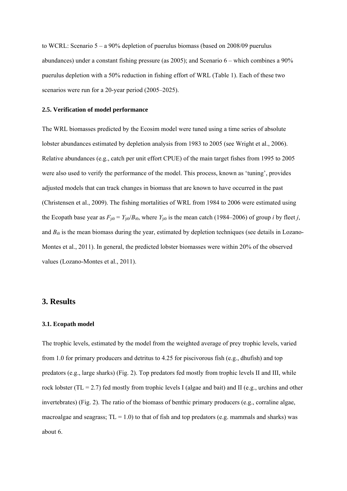to WCRL: Scenario 5 – a 90% depletion of puerulus biomass (based on 2008/09 puerulus abundances) under a constant fishing pressure (as 2005); and Scenario 6 – which combines a 90% puerulus depletion with a 50% reduction in fishing effort of WRL (Table 1). Each of these two scenarios were run for a 20-year period (2005–2025).

#### **2.5. Verification of model performance**

The WRL biomasses predicted by the Ecosim model were tuned using a time series of absolute lobster abundances estimated by depletion analysis from 1983 to 2005 (see Wright et al., 2006). Relative abundances (e.g., catch per unit effort CPUE) of the main target fishes from 1995 to 2005 were also used to verify the performance of the model. This process, known as 'tuning', provides adjusted models that can track changes in biomass that are known to have occurred in the past (Christensen et al., 2009). The fishing mortalities of WRL from 1984 to 2006 were estimated using the Ecopath base year as  $F_{ji0} = Y_{ji0}/B_{i0}$ , where  $Y_{ji0}$  is the mean catch (1984–2006) of group *i* by fleet *j*, and  $B_{i0}$  is the mean biomass during the year, estimated by depletion techniques (see details in Lozano-Montes et al., 2011). In general, the predicted lobster biomasses were within 20% of the observed values (Lozano-Montes et al., 2011).

### **3. Results**

#### **3.1. Ecopath model**

The trophic levels, estimated by the model from the weighted average of prey trophic levels, varied from 1.0 for primary producers and detritus to 4.25 for piscivorous fish (e.g., dhufish) and top predators (e.g., large sharks) (Fig. 2). Top predators fed mostly from trophic levels II and III, while rock lobster (TL = 2.7) fed mostly from trophic levels I (algae and bait) and II (e.g., urchins and other invertebrates) (Fig. 2). The ratio of the biomass of benthic primary producers (e.g., corraline algae, macroalgae and seagrass;  $TL = 1.0$ ) to that of fish and top predators (e.g. mammals and sharks) was about 6.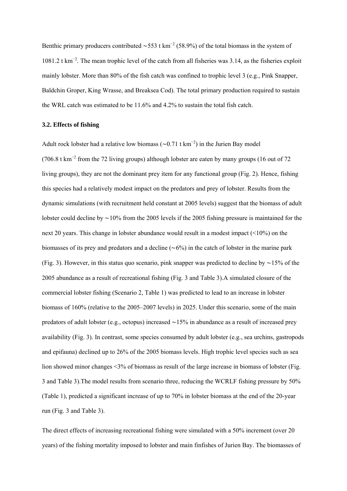Benthic primary producers contributed ~553 t km<sup>-2</sup> (58.9%) of the total biomass in the system of 1081.2 t km<sup>−</sup><sup>2</sup> . The mean trophic level of the catch from all fisheries was 3.14, as the fisheries exploit mainly lobster. More than 80% of the fish catch was confined to trophic level 3 (e.g., Pink Snapper, Baldchin Groper, King Wrasse, and Breaksea Cod). The total primary production required to sustain the WRL catch was estimated to be 11.6% and 4.2% to sustain the total fish catch.

#### **3.2. Effects of fishing**

Adult rock lobster had a relative low biomass ( $\sim$ 0.71 t km<sup>-2</sup>) in the Jurien Bay model (706.8 t km<sup>−</sup><sup>2</sup> from the 72 living groups) although lobster are eaten by many groups (16 out of 72 living groups), they are not the dominant prey item for any functional group (Fig. 2). Hence, fishing this species had a relatively modest impact on the predators and prey of lobster. Results from the dynamic simulations (with recruitment held constant at 2005 levels) suggest that the biomass of adult lobster could decline by ∼10% from the 2005 levels if the 2005 fishing pressure is maintained for the next 20 years. This change in lobster abundance would result in a modest impact (<10%) on the biomasses of its prey and predators and a decline (∼6%) in the catch of lobster in the marine park (Fig. 3). However, in this status quo scenario, pink snapper was predicted to decline by ∼15% of the 2005 abundance as a result of recreational fishing (Fig. 3 and Table 3).A simulated closure of the commercial lobster fishing (Scenario 2, Table 1) was predicted to lead to an increase in lobster biomass of 160% (relative to the 2005–2007 levels) in 2025. Under this scenario, some of the main predators of adult lobster (e.g., octopus) increased ∼15% in abundance as a result of increased prey availability (Fig. 3). In contrast, some species consumed by adult lobster (e.g., sea urchins, gastropods and epifauna) declined up to 26% of the 2005 biomass levels. High trophic level species such as sea lion showed minor changes <3% of biomass as result of the large increase in biomass of lobster (Fig. 3 and Table 3).The model results from scenario three, reducing the WCRLF fishing pressure by 50% (Table 1), predicted a significant increase of up to 70% in lobster biomass at the end of the 20-year run (Fig. 3 and Table 3).

The direct effects of increasing recreational fishing were simulated with a 50% increment (over 20 years) of the fishing mortality imposed to lobster and main finfishes of Jurien Bay. The biomasses of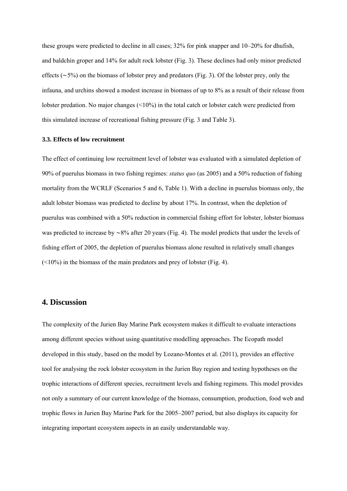these groups were predicted to decline in all cases; 32% for pink snapper and 10–20% for dhufish, and baldchin groper and 14% for adult rock lobster (Fig. 3). These declines had only minor predicted effects (∼5%) on the biomass of lobster prey and predators (Fig. 3). Of the lobster prey, only the infauna, and urchins showed a modest increase in biomass of up to 8% as a result of their release from lobster predation. No major changes (<10%) in the total catch or lobster catch were predicted from this simulated increase of recreational fishing pressure (Fig. 3 and Table 3).

#### **3.3. Effects of low recruitment**

The effect of continuing low recruitment level of lobster was evaluated with a simulated depletion of 90% of puerulus biomass in two fishing regimes: *status quo* (as 2005) and a 50% reduction of fishing mortality from the WCRLF (Scenarios 5 and 6, Table 1). With a decline in puerulus biomass only, the adult lobster biomass was predicted to decline by about 17%. In contrast, when the depletion of puerulus was combined with a 50% reduction in commercial fishing effort for lobster, lobster biomass was predicted to increase by ∼8% after 20 years (Fig. 4). The model predicts that under the levels of fishing effort of 2005, the depletion of puerulus biomass alone resulted in relatively small changes (<10%) in the biomass of the main predators and prey of lobster (Fig. 4).

## **4. Discussion**

The complexity of the Jurien Bay Marine Park ecosystem makes it difficult to evaluate interactions among different species without using quantitative modelling approaches. The Ecopath model developed in this study, based on the model by Lozano-Montes et al. (2011), provides an effective tool for analysing the rock lobster ecosystem in the Jurien Bay region and testing hypotheses on the trophic interactions of different species, recruitment levels and fishing regimens. This model provides not only a summary of our current knowledge of the biomass, consumption, production, food web and trophic flows in Jurien Bay Marine Park for the 2005–2007 period, but also displays its capacity for integrating important ecosystem aspects in an easily understandable way.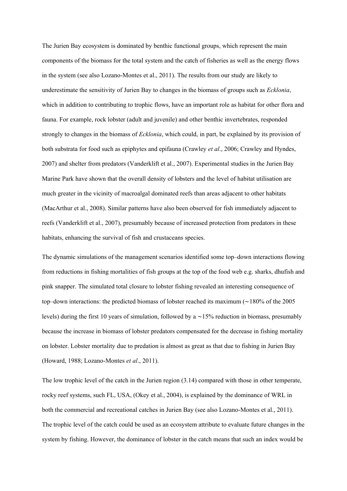The Jurien Bay ecosystem is dominated by benthic functional groups, which represent the main components of the biomass for the total system and the catch of fisheries as well as the energy flows in the system (see also Lozano-Montes et al., 2011). The results from our study are likely to underestimate the sensitivity of Jurien Bay to changes in the biomass of groups such as *Ecklonia*, which in addition to contributing to trophic flows, have an important role as habitat for other flora and fauna. For example, rock lobster (adult and juvenile) and other benthic invertebrates, responded strongly to changes in the biomass of *Ecklonia*, which could, in part, be explained by its provision of both substrata for food such as epiphytes and epifauna (Crawley *et al*., 2006; Crawley and Hyndes, 2007) and shelter from predators (Vanderklift et al., 2007). Experimental studies in the Jurien Bay Marine Park have shown that the overall density of lobsters and the level of habitat utilisation are much greater in the vicinity of macroalgal dominated reefs than areas adjacent to other habitats (MacArthur et al., 2008). Similar patterns have also been observed for fish immediately adjacent to reefs (Vanderklift et al., 2007), presumably because of increased protection from predators in these habitats, enhancing the survival of fish and crustaceans species.

The dynamic simulations of the management scenarios identified some top–down interactions flowing from reductions in fishing mortalities of fish groups at the top of the food web e.g. sharks, dhufish and pink snapper. The simulated total closure to lobster fishing revealed an interesting consequence of top–down interactions: the predicted biomass of lobster reached its maximum (∼180% of the 2005 levels) during the first 10 years of simulation, followed by a ∼15% reduction in biomass, presumably because the increase in biomass of lobster predators compensated for the decrease in fishing mortality on lobster. Lobster mortality due to predation is almost as great as that due to fishing in Jurien Bay (Howard, 1988; Lozano-Montes *et al*., 2011).

The low trophic level of the catch in the Jurien region (3.14) compared with those in other temperate, rocky reef systems, such FL, USA, (Okey et al., 2004), is explained by the dominance of WRL in both the commercial and recreational catches in Jurien Bay (see also Lozano-Montes et al., 2011). The trophic level of the catch could be used as an ecosystem attribute to evaluate future changes in the system by fishing. However, the dominance of lobster in the catch means that such an index would be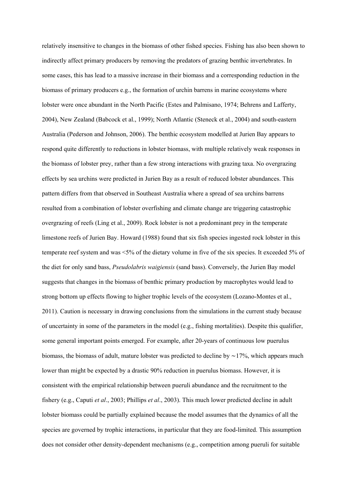relatively insensitive to changes in the biomass of other fished species. Fishing has also been shown to indirectly affect primary producers by removing the predators of grazing benthic invertebrates. In some cases, this has lead to a massive increase in their biomass and a corresponding reduction in the biomass of primary producers e.g., the formation of urchin barrens in marine ecosystems where lobster were once abundant in the North Pacific (Estes and Palmisano, 1974; Behrens and Lafferty, 2004), New Zealand (Babcock et al., 1999); North Atlantic (Steneck et al., 2004) and south-eastern Australia (Pederson and Johnson, 2006). The benthic ecosystem modelled at Jurien Bay appears to respond quite differently to reductions in lobster biomass, with multiple relatively weak responses in the biomass of lobster prey, rather than a few strong interactions with grazing taxa. No overgrazing effects by sea urchins were predicted in Jurien Bay as a result of reduced lobster abundances. This pattern differs from that observed in Southeast Australia where a spread of sea urchins barrens resulted from a combination of lobster overfishing and climate change are triggering catastrophic overgrazing of reefs (Ling et al., 2009). Rock lobster is not a predominant prey in the temperate limestone reefs of Jurien Bay. Howard (1988) found that six fish species ingested rock lobster in this temperate reef system and was <5% of the dietary volume in five of the six species. It exceeded 5% of the diet for only sand bass, *Pseudolabris waigiensis* (sand bass). Conversely, the Jurien Bay model suggests that changes in the biomass of benthic primary production by macrophytes would lead to strong bottom up effects flowing to higher trophic levels of the ecosystem (Lozano-Montes et al., 2011). Caution is necessary in drawing conclusions from the simulations in the current study because of uncertainty in some of the parameters in the model (e.g., fishing mortalities). Despite this qualifier, some general important points emerged. For example, after 20-years of continuous low puerulus biomass, the biomass of adult, mature lobster was predicted to decline by ∼17%, which appears much lower than might be expected by a drastic 90% reduction in puerulus biomass. However, it is consistent with the empirical relationship between pueruli abundance and the recruitment to the fishery (e.g., Caputi *et al*., 2003; Phillips *et al*., 2003). This much lower predicted decline in adult lobster biomass could be partially explained because the model assumes that the dynamics of all the species are governed by trophic interactions, in particular that they are food-limited. This assumption does not consider other density-dependent mechanisms (e.g., competition among pueruli for suitable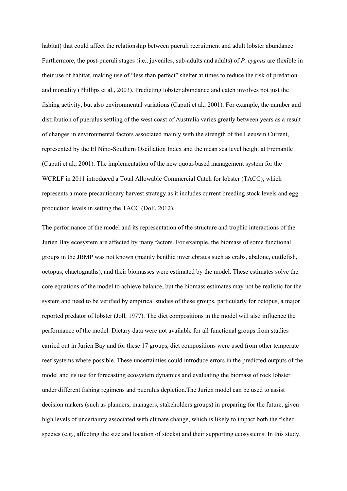habitat) that could affect the relationship between pueruli recruitment and adult lobster abundance. Furthermore, the post-pueruli stages (i.e., juveniles, sub-adults and adults) of *P. cygnus* are flexible in their use of habitat, making use of "less than perfect" shelter at times to reduce the risk of predation and mortality (Phillips et al., 2003). Predicting lobster abundance and catch involves not just the fishing activity, but also environmental variations (Caputi et al., 2001). For example, the number and distribution of puerulus settling of the west coast of Australia varies greatly between years as a result of changes in environmental factors associated mainly with the strength of the Leeuwin Current, represented by the El Nino-Southern Oscillation Index and the mean sea level height at Fremantle (Caputi et al., 2001). The implementation of the new quota-based management system for the WCRLF in 2011 introduced a Total Allowable Commercial Catch for lobster (TACC), which represents a more precautionary harvest strategy as it includes current breeding stock levels and egg production levels in setting the TACC (DoF, 2012).

The performance of the model and its representation of the structure and trophic interactions of the Jurien Bay ecosystem are affected by many factors. For example, the biomass of some functional groups in the JBMP was not known (mainly benthic invertebrates such as crabs, abalone, cuttlefish, octopus, chaetognaths), and their biomasses were estimated by the model. These estimates solve the core equations of the model to achieve balance, but the biomass estimates may not be realistic for the system and need to be verified by empirical studies of these groups, particularly for octopus, a major reported predator of lobster (Joll, 1977). The diet compositions in the model will also influence the performance of the model. Dietary data were not available for all functional groups from studies carried out in Jurien Bay and for these 17 groups, diet compositions were used from other temperate reef systems where possible. These uncertainties could introduce errors in the predicted outputs of the model and its use for forecasting ecosystem dynamics and evaluating the biomass of rock lobster under different fishing regimens and puerulus depletion.The Jurien model can be used to assist decision makers (such as planners, managers, stakeholders groups) in preparing for the future, given high levels of uncertainty associated with climate change, which is likely to impact both the fished species (e.g., affecting the size and location of stocks) and their supporting ecosystems. In this study,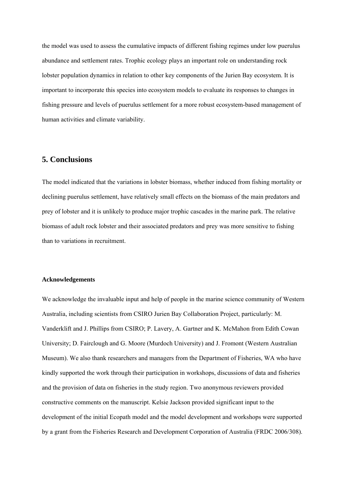the model was used to assess the cumulative impacts of different fishing regimes under low puerulus abundance and settlement rates. Trophic ecology plays an important role on understanding rock lobster population dynamics in relation to other key components of the Jurien Bay ecosystem. It is important to incorporate this species into ecosystem models to evaluate its responses to changes in fishing pressure and levels of puerulus settlement for a more robust ecosystem-based management of human activities and climate variability.

## **5. Conclusions**

The model indicated that the variations in lobster biomass, whether induced from fishing mortality or declining puerulus settlement, have relatively small effects on the biomass of the main predators and prey of lobster and it is unlikely to produce major trophic cascades in the marine park. The relative biomass of adult rock lobster and their associated predators and prey was more sensitive to fishing than to variations in recruitment.

#### **Acknowledgements**

We acknowledge the invaluable input and help of people in the marine science community of Western Australia, including scientists from CSIRO Jurien Bay Collaboration Project, particularly: M. Vanderklift and J. Phillips from CSIRO; P. Lavery, A. Gartner and K. McMahon from Edith Cowan University; D. Fairclough and G. Moore (Murdoch University) and J. Fromont (Western Australian Museum). We also thank researchers and managers from the Department of Fisheries, WA who have kindly supported the work through their participation in workshops, discussions of data and fisheries and the provision of data on fisheries in the study region. Two anonymous reviewers provided constructive comments on the manuscript. Kelsie Jackson provided significant input to the development of the initial Ecopath model and the model development and workshops were supported by a grant from the Fisheries Research and Development Corporation of Australia (FRDC 2006/308).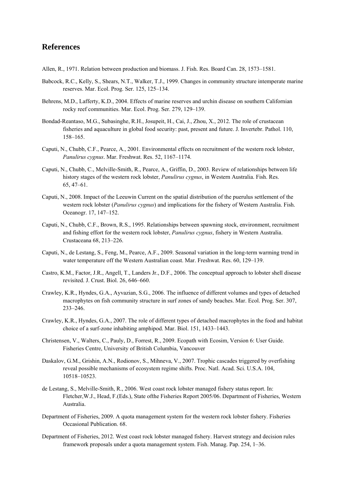# **References**

Allen, R., 1971. Relation between production and biomass. J. Fish. Res. Board Can. 28, 1573–1581.

- Babcock, R.C., Kelly, S., Shears, N.T., Walker, T.J., 1999. Changes in community structure intemperate marine reserves. Mar. Ecol. Prog. Ser. 125, 125–134.
- Behrens, M.D., Lafferty, K.D., 2004. Effects of marine reserves and urchin disease on southern Californian rocky reef communities. Mar. Ecol. Prog. Ser. 279, 129–139.
- Bondad-Reantaso, M.G., Subasinghe, R.H., Josupeit, H., Cai, J., Zhou, X., 2012. The role of crustacean fisheries and aquaculture in global food security: past, present and future. J. Invertebr. Pathol. 110, 158–165.
- Caputi, N., Chubb, C.F., Pearce, A., 2001. Environmental effects on recruitment of the western rock lobster, *Panulirus cygnus*. Mar. Freshwat. Res. 52, 1167–1174.
- Caputi, N., Chubb, C., Melville-Smith, R., Pearce, A., Griffin, D., 2003. Review of relationships between life history stages of the western rock lobster, *Panulirus cygnus*, in Western Australia. Fish. Res. 65, 47–61.
- Caputi, N., 2008. Impact of the Leeuwin Current on the spatial distribution of the puerulus settlement of the western rock lobster (*Panulirus cygnus*) and implications for the fishery of Western Australia. Fish. Oceanogr. 17, 147–152.
- Caputi, N., Chubb, C.F., Brown, R.S., 1995. Relationships between spawning stock, environment, recruitment and fishing effort for the western rock lobster, *Panulirus cygnus*, fishery in Western Australia. Crustaceana 68, 213–226.
- Caputi, N., de Lestang, S., Feng, M., Pearce, A.F., 2009. Seasonal variation in the long-term warming trend in water temperature off the Western Australian coast. Mar. Freshwat. Res. 60, 129–139.
- Castro, K.M., Factor, J.R., Angell, T., Landers Jr., D.F., 2006. The conceptual approach to lobster shell disease revisited. J. Crust. Biol. 26, 646–660.
- Crawley, K.R., Hyndes, G.A., Ayvazian, S.G., 2006. The influence of different volumes and types of detached macrophytes on fish community structure in surf zones of sandy beaches. Mar. Ecol. Prog. Ser. 307, 233–246.
- Crawley, K.R., Hyndes, G.A., 2007. The role of different types of detached macrophytes in the food and habitat choice of a surf-zone inhabiting amphipod. Mar. Biol. 151, 1433–1443.
- Christensen, V., Walters, C., Pauly, D., Forrest, R., 2009. Ecopath with Ecosim, Version 6: User Guide. Fisheries Centre, University of British Columbia, Vancouver
- Daskalov, G.M., Grishin, A.N., Rodionov, S., Mihneva, V., 2007. Trophic cascades triggered by overfishing reveal possible mechanisms of ecosystem regime shifts. Proc. Natl. Acad. Sci. U.S.A. 104, 10518–10523.
- de Lestang, S., Melville-Smith, R., 2006. West coast rock lobster managed fishery status report. In: Fletcher,W.J., Head, F.(Eds.), State ofthe Fisheries Report 2005/06. Department of Fisheries, Western Australia.
- Department of Fisheries, 2009. A quota management system for the western rock lobster fishery. Fisheries Occasional Publication. 68.
- Department of Fisheries, 2012. West coast rock lobster managed fishery. Harvest strategy and decision rules framework proposals under a quota management system. Fish. Manag. Pap. 254, 1–36.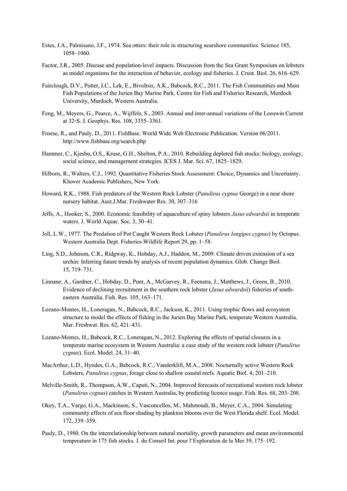- Estes, J.A., Palmisano, J.F., 1974. Sea otters: their role in structuring nearshore communities. Science 185, 1058–1060.
- Factor, J.R., 2005. Disease and population-level impacts. Discussion from the Sea Grant Symposium on lobsters as model organisms for the interaction of behavior, ecology and fisheries. J. Crust. Biol. 26, 616–629.
- Fairclough, D.V., Potter, I.C., Lek, E., Bivoltsis, A.K., Babcock, R.C., 2011. The Fish Communities and Main Fish Populations of the Jurien Bay Marine Park. Centre for Fish and Fisheries Research, Murdoch University, Murdoch, Western Australia.
- Feng, M., Meyers, G., Pearce, A., Wijffels, S., 2003. Annual and inter-annual variations of the Leeuwin Current at 32◦S. J. Geophys. Res. 108, 3355–3361.
- Froese, R., and Pauly, D., 2011. FishBase. World Wide Web Electronic Publication. Version 06/2011. http://www.fishbase.org/search.php
- Hammer, C., Kjesbu, O.S., Kruse, G.H., Shelton, P.A., 2010. Rebuilding depleted fish stocks: biology, ecology, social science, and management strategies. ICES J. Mar. Sci. 67, 1825–1829.
- Hilborn, R., Walters, C.J., 1992. Quantitative Fisheries Stock Assessment: Choice, Dynamics and Uncertainty. Kluwer Academic Publishers, New York.
- Howard, R.K., 1988. Fish predators of the Western Rock Lobster (*Panulirus cygnus* George) in a near shore nursery habitat. Aust.J.Mar. Freshwater Res. 30, 307–316
- Jeffs, A., Hooker, S., 2000. Economic feasibility of aquaculture of spiny lobsters *Jasus edwardsii* in temperate waters. J. World Aquac. Soc. 3, 30–41.
- Joll, L.W., 1977. The Predation of Pot Caught Western Rock Lobster (*Panulirus longipes cygnus*) by Octopus. Western Australia Dept. Fisheries Wildlife Report 29, pp. 1–58.
- Ling, S.D., Johnson, C.R., Ridgway, K., Hobday, A.J., Haddon, M., 2009. Climate driven extension of a sea urchin: Inferring future trends by analysis of recent population dynamics. Glob. Change Biol. 15, 719–731.
- Linnane, A., Gardner, C., Hobday, D., Punt, A., McGarvey, R., Feenstra, J., Matthews, J., Green, B., 2010. Evidence of declining recruitment in the southern rock lobster (*Jasus edwardsii*) fisheries of south eastern Australia. Fish. Res. 105, 163–171.
- Lozano-Montes, H., Loneragan, N., Babcock, R.C., Jackson, K., 2011. Using trophic flows and ecosystem structure to model the effects of fishing in the Jurien Bay Marine Park, temperate Western Australia. Mar. Freshwat. Res. 62, 421–431.
- Lozano-Montes, H., Babcock, R.C., Loneragan, N., 2012. Exploring the effects of spatial closures in a temperate marine ecosystem in Western Australia: a case study of the western rock lobster (*Panulirus cygnus*). Ecol. Model. 24, 31–40.
- MacArthur, L.D., Hyndes, G.A., Babcock, R.C., Vanderklift, M.A., 2008. Nocturnally active Western Rock Lobsters, *Panulirus cygnus*, forage close to shallow coastal reefs. Aquatic Biol. 4, 201–210.
- Melville-Smith, R., Thompson, A.W., Caputi, N., 2004. Improved forecasts of recreational western rock lobster (*Panulirus cygnus*) catches in Western Australia, by predicting licence usage. Fish. Res. 68, 203–208.
- Okey, T.A., Vargo, G.A., Mackinson, S., Vasconcellos, M., Mahmoudi, B., Meyer, C.A., 2004. Simulating community effects of sea floor shading by plankton blooms over the West Florida shelf. Ecol. Model. 172, 339–359.
- Pauly, D., 1980. On the interrelationship between natural mortality, growth parameters and mean environmental temperature in 175 fish stocks. J. du Conseil Int. pour l'Exploration de la Mer 39, 175–192.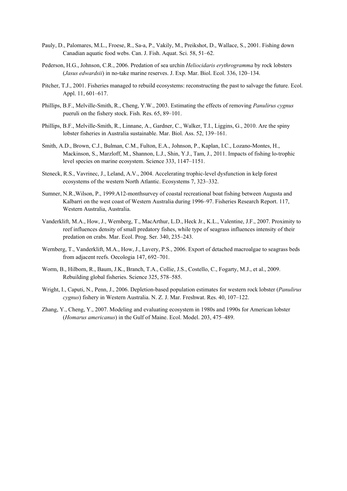- Pauly, D., Palomares, M.L., Froese, R., Sa-a, P., Vakily, M., Preikshot, D., Wallace, S., 2001. Fishing down Canadian aquatic food webs. Can. J. Fish. Aquat. Sci. 58, 51–62.
- Pederson, H.G., Johnson, C.R., 2006. Predation of sea urchin *Heliocidaris erythrogramma* by rock lobsters (*Jasus edwardsii*) in no-take marine reserves. J. Exp. Mar. Biol. Ecol. 336, 120–134.
- Pitcher, T.J., 2001. Fisheries managed to rebuild ecosystems: reconstructing the past to salvage the future. Ecol. Appl. 11, 601–617.
- Phillips, B.F., Melville-Smith, R., Cheng, Y.W., 2003. Estimating the effects of removing *Panulirus cygnus* pueruli on the fishery stock. Fish. Res. 65, 89–101.
- Phillips, B.F., Melville-Smith, R., Linnane, A., Gardner, C., Walker, T.I., Liggins, G., 2010. Are the spiny lobster fisheries in Australia sustainable. Mar. Biol. Ass. 52, 139–161.
- Smith, A.D., Brown, C.J., Bulman, C.M., Fulton, E.A., Johnson, P., Kaplan, I.C., Lozano-Montes, H., Mackinson, S., Marzloff, M., Shannon, L.J., Shin, Y.J., Tam, J., 2011. Impacts of fishing lo-trophic level species on marine ecosystem. Science 333, 1147–1151.
- Steneck, R.S., Vavrinec, J., Leland, A.V., 2004. Accelerating trophic-level dysfunction in kelp forest ecosystems of the western North Atlantic. Ecosystems 7, 323–332.
- Sumner, N.R.,Wilson, P., 1999.A12-monthsurvey of coastal recreational boat fishing between Augusta and Kalbarri on the west coast of Western Australia during 1996–97. Fisheries Research Report. 117, Western Australia, Australia.
- Vanderklift, M.A., How, J., Wernberg, T., MacArthur, L.D., Heck Jr., K.L., Valentine, J.F., 2007. Proximity to reef influences density of small predatory fishes, while type of seagrass influences intensity of their predation on crabs. Mar. Ecol. Prog. Ser. 340, 235–243.
- Wernberg, T., Vanderklift, M.A., How, J., Lavery, P.S., 2006. Export of detached macroalgae to seagrass beds from adjacent reefs. Oecologia 147, 692–701.
- Worm, B., Hilborn, R., Baum, J.K., Branch, T.A., Collie, J.S., Costello, C., Fogarty, M.J., et al., 2009. Rebuilding global fisheries. Science 325, 578–585.
- Wright, I., Caputi, N., Penn, J., 2006. Depletion-based population estimates for western rock lobster (*Panulirus cygnus*) fishery in Western Australia. N. Z. J. Mar. Freshwat. Res. 40, 107–122.
- Zhang, Y., Cheng, Y., 2007. Modeling and evaluating ecosystem in 1980s and 1990s for American lobster (*Homarus americanus*) in the Gulf of Maine. Ecol. Model. 203, 475–489.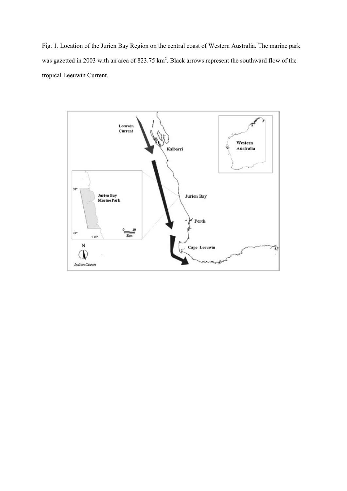Fig. 1. Location of the Jurien Bay Region on the central coast of Western Australia. The marine park was gazetted in 2003 with an area of 823.75 km<sup>2</sup>. Black arrows represent the southward flow of the tropical Leeuwin Current.

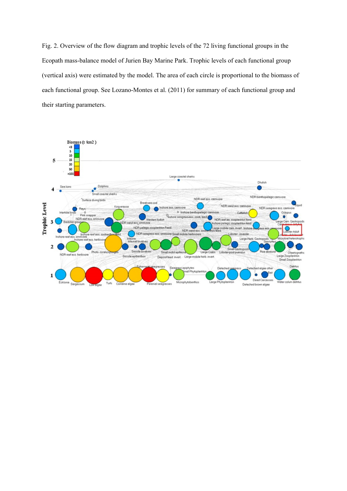Fig. 2. Overview of the flow diagram and trophic levels of the 72 living functional groups in the Ecopath mass-balance model of Jurien Bay Marine Park. Trophic levels of each functional group (vertical axis) were estimated by the model. The area of each circle is proportional to the biomass of each functional group. See Lozano-Montes et al. (2011) for summary of each functional group and their starting parameters.

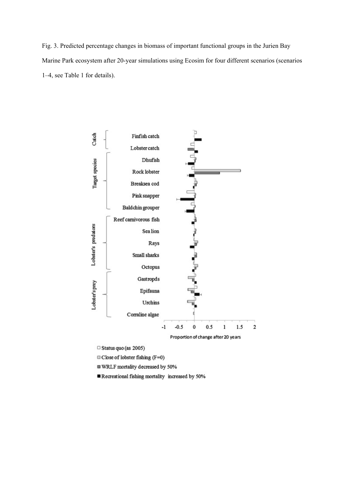Fig. 3. Predicted percentage changes in biomass of important functional groups in the Jurien Bay Marine Park ecosystem after 20-year simulations using Ecosim for four different scenarios (scenarios 1–4, see Table 1 for details).



□ Status quo (as 2005)

Close of lobster fishing (F=0)

WRLF mortality decreased by 50%

Recreational fishing mortality increased by 50%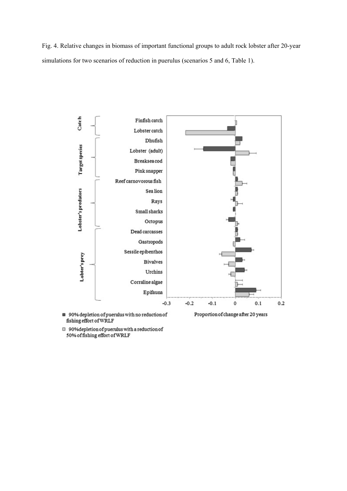Fig. 4. Relative changes in biomass of important functional groups to adult rock lobster after 20-year simulations for two scenarios of reduction in puerulus (scenarios 5 and 6, Table 1).



fishing effort of WRLF  $\Box$  90% depletion of puerulus with a reduction of

50% of fishing effort of WRLF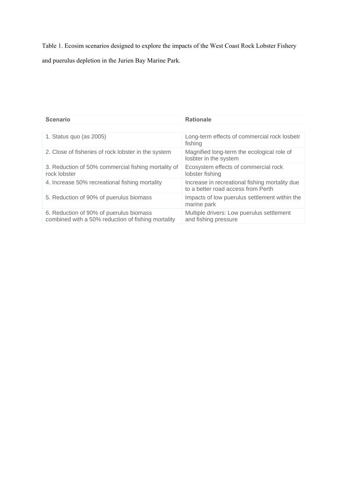Table 1. Ecosim scenarios designed to explore the impacts of the West Coast Rock Lobster Fishery and puerulus depletion in the Jurien Bay Marine Park.

| <b>Scenario</b>                                                                               | <b>Rationale</b>                                                                     |  |
|-----------------------------------------------------------------------------------------------|--------------------------------------------------------------------------------------|--|
|                                                                                               |                                                                                      |  |
| 1. Status quo (as 2005)                                                                       | Long-term effects of commercial rock losbetr<br>fishing                              |  |
| 2. Close of fisheries of rock lobster in the system                                           | Magnified long-term the ecological role of<br>losbter in the system                  |  |
| 3. Reduction of 50% commercial fishing mortality of<br>rock lobster                           | Ecosystem effects of commercial rock<br>lobster fishing                              |  |
| 4. Increase 50% recreational fishing mortality                                                | Increase in recreational fishing mortality due<br>to a better road access from Perth |  |
| 5. Reduction of 90% of puerulus biomass                                                       | Impacts of low puerulus settlement within the<br>marine park                         |  |
| 6. Reduction of 90% of puerulus biomass<br>combined with a 50% reduction of fishing mortality | Multiple drivers: Low puerulus settlement<br>and fishing pressure                    |  |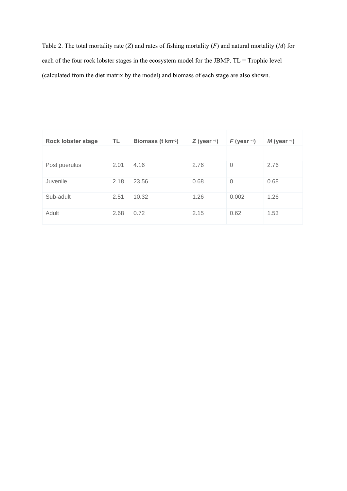Table 2. The total mortality rate (*Z*) and rates of fishing mortality (*F*) and natural mortality (*M*) for each of the four rock lobster stages in the ecosystem model for the JBMP. TL = Trophic level (calculated from the diet matrix by the model) and biomass of each stage are also shown.

| <b>Rock lobster stage</b> | TL   | Biomass (t km-2) | $Z$ (year -1) | $F$ (year -1)  | $M$ (year $-1$ ) |
|---------------------------|------|------------------|---------------|----------------|------------------|
|                           |      |                  |               |                |                  |
| Post puerulus             | 2.01 | 4.16             | 2.76          | $\overline{0}$ | 2.76             |
| Juvenile                  | 2.18 | 23.56            | 0.68          | $\overline{0}$ | 0.68             |
| Sub-adult                 | 2.51 | 10.32            | 1.26          | 0.002          | 1.26             |
| Adult                     | 2.68 | 0.72             | 2.15          | 0.62           | 1.53             |